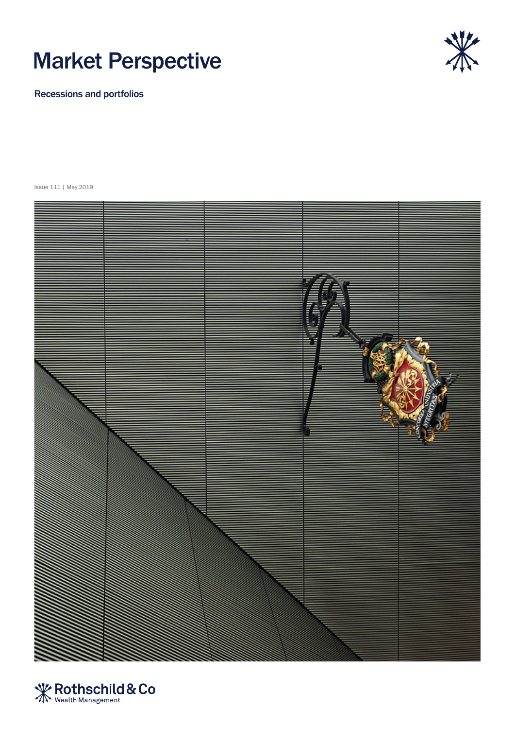



Recessions and portfolios

Issue 111 | May 2019



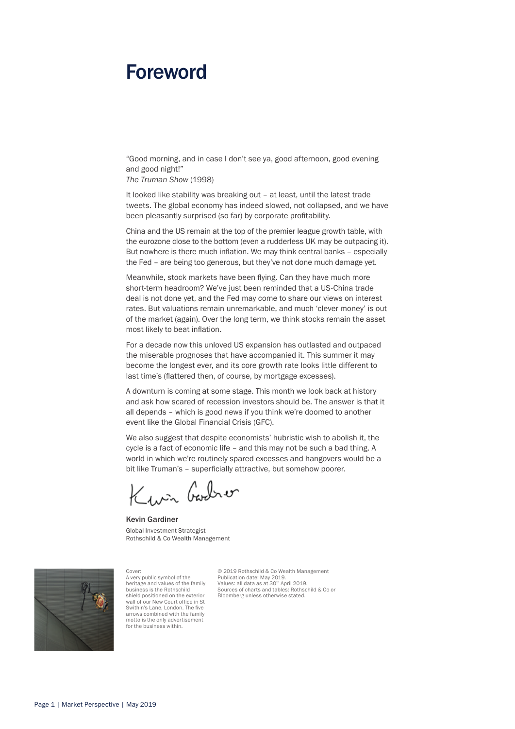# Foreword

"Good morning, and in case I don't see ya, good afternoon, good evening and good night!"

*The Truman Show* (1998)

It looked like stability was breaking out – at least, until the latest trade tweets. The global economy has indeed slowed, not collapsed, and we have been pleasantly surprised (so far) by corporate profitability.

China and the US remain at the top of the premier league growth table, with the eurozone close to the bottom (even a rudderless UK may be outpacing it). But nowhere is there much inflation. We may think central banks – especially the Fed – are being too generous, but they've not done much damage yet.

Meanwhile, stock markets have been flying. Can they have much more short-term headroom? We've just been reminded that a US-China trade deal is not done yet, and the Fed may come to share our views on interest rates. But valuations remain unremarkable, and much 'clever money' is out of the market (again). Over the long term, we think stocks remain the asset most likely to beat inflation.

For a decade now this unloved US expansion has outlasted and outpaced the miserable prognoses that have accompanied it. This summer it may become the longest ever, and its core growth rate looks little different to last time's (flattered then, of course, by mortgage excesses).

A downturn is coming at some stage. This month we look back at history and ask how scared of recession investors should be. The answer is that it all depends – which is good news if you think we're doomed to another event like the Global Financial Crisis (GFC).

We also suggest that despite economists' hubristic wish to abolish it, the cycle is a fact of economic life – and this may not be such a bad thing. A world in which we're routinely spared excesses and hangovers would be a bit like Truman's – superficially attractive, but somehow poorer.

Kwn Godro

Kevin Gardiner Global Investment Strategist Rothschild & Co Wealth Management



Cover: A very public symbol of the heritage and values of the family business is the Rothschild shield positioned on the exterior wall of our New Court office in St Swithin's Lane, London. The five arrows combined with the family motto is the only advertisement for the business within

© 2019 Rothschild & Co Wealth Management Publication date: May 2019. Values: all data as at 30th April 2019. Sources of charts and tables: Rothschild & Co or Bloomberg unless otherwise stated.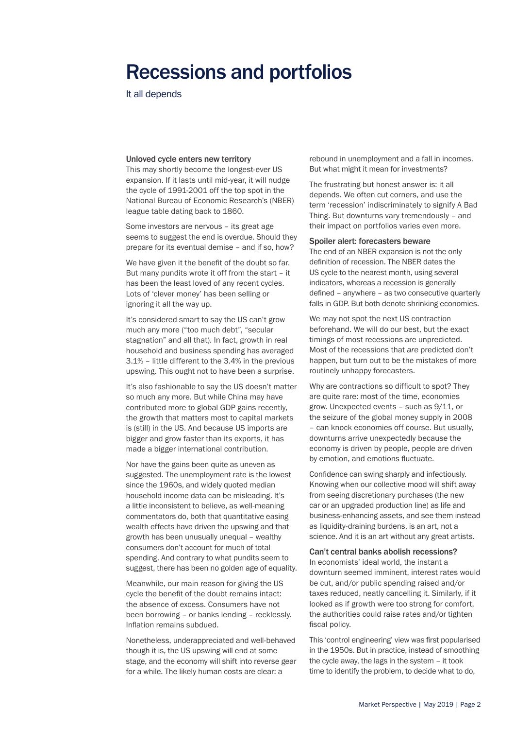# Recessions and portfolios

It all depends

### Unloved cycle enters new territory

This may shortly become the longest-ever US expansion. If it lasts until mid-year, it will nudge the cycle of 1991-2001 off the top spot in the National Bureau of Economic Research's (NBER) league table dating back to 1860.

Some investors are nervous – its great age seems to suggest the end is overdue. Should they prepare for its eventual demise – and if so, how?

We have given it the benefit of the doubt so far. But many pundits wrote it off from the start – it has been the least loved of any recent cycles. Lots of 'clever money' has been selling or ignoring it all the way up.

It's considered smart to say the US can't grow much any more ("too much debt", "secular stagnation" and all that). In fact, growth in real household and business spending has averaged 3.1% – little different to the 3.4% in the previous upswing. This ought not to have been a surprise.

It's also fashionable to say the US doesn't matter so much any more. But while China may have contributed more to global GDP gains recently, the growth that matters most to capital markets is (still) in the US. And because US imports are bigger and grow faster than its exports, it has made a bigger international contribution.

Nor have the gains been quite as uneven as suggested. The unemployment rate is the lowest since the 1960s, and widely quoted median household income data can be misleading. It's a little inconsistent to believe, as well-meaning commentators do, both that quantitative easing wealth effects have driven the upswing and that growth has been unusually unequal – wealthy consumers don't account for much of total spending. And contrary to what pundits seem to suggest, there has been no golden age of equality.

Meanwhile, our main reason for giving the US cycle the benefit of the doubt remains intact: the absence of excess. Consumers have not been borrowing – or banks lending – recklessly. Inflation remains subdued.

Nonetheless, underappreciated and well-behaved though it is, the US upswing will end at some stage, and the economy will shift into reverse gear for a while. The likely human costs are clear: a

rebound in unemployment and a fall in incomes. But what might it mean for investments?

The frustrating but honest answer is: it all depends. We often cut corners, and use the term 'recession' indiscriminately to signify A Bad Thing. But downturns vary tremendously – and their impact on portfolios varies even more.

### Spoiler alert: forecasters beware

The end of an NBER expansion is not the only definition of recession. The NBER dates the US cycle to the nearest month, using several indicators, whereas a recession is generally defined – anywhere – as two consecutive quarterly falls in GDP. But both denote shrinking economies.

We may not spot the next US contraction beforehand. We will do our best, but the exact timings of most recessions are unpredicted. Most of the recessions that *are* predicted don't happen, but turn out to be the mistakes of more routinely unhappy forecasters.

Why are contractions so difficult to spot? They are quite rare: most of the time, economies grow. Unexpected events – such as 9/11, or the seizure of the global money supply in 2008 – can knock economies off course. But usually, downturns arrive unexpectedly because the economy is driven by people, people are driven by emotion, and emotions fluctuate.

Confidence can swing sharply and infectiously. Knowing when our collective mood will shift away from seeing discretionary purchases (the new car or an upgraded production line) as life and business-enhancing assets, and see them instead as liquidity-draining burdens, is an art, not a science. And it is an art without any great artists.

### Can't central banks abolish recessions?

In economists' ideal world, the instant a downturn seemed imminent, interest rates would be cut, and/or public spending raised and/or taxes reduced, neatly cancelling it. Similarly, if it looked as if growth were too strong for comfort, the authorities could raise rates and/or tighten fiscal policy.

This 'control engineering' view was first popularised in the 1950s. But in practice, instead of smoothing the cycle away, the lags in the system – it took time to identify the problem, to decide what to do,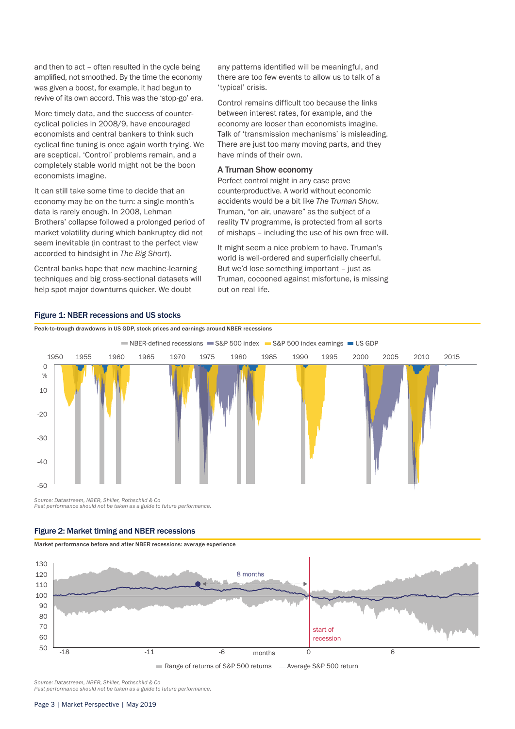and then to act – often resulted in the cycle being amplified, not smoothed. By the time the economy was given a boost, for example, it had begun to revive of its own accord. This was the 'stop-go' era.

More timely data, and the success of countercyclical policies in 2008/9, have encouraged economists and central bankers to think such cyclical fine tuning is once again worth trying. We are sceptical. 'Control' problems remain, and a completely stable world might not be the boon economists imagine.

It can still take some time to decide that an economy may be on the turn: a single month's data is rarely enough. In 2008, Lehman Brothers' collapse followed a prolonged period of market volatility during which bankruptcy did not seem inevitable (in contrast to the perfect view accorded to hindsight in *The Big Short*).

Central banks hope that new machine-learning techniques and big cross-sectional datasets will help spot major downturns quicker. We doubt

Figure 1: NBER recessions and US stocks

any patterns identified will be meaningful, and there are too few events to allow us to talk of a 'typical' crisis.

Control remains difficult too because the links between interest rates, for example, and the economy are looser than economists imagine. Talk of 'transmission mechanisms' is misleading. There are just too many moving parts, and they have minds of their own.

# A Truman Show economy

Perfect control might in any case prove counterproductive. A world without economic accidents would be a bit like *The Truman Show*. Truman, "on air, unaware" as the subject of a reality TV programme, is protected from all sorts of mishaps – including the use of his own free will.

It might seem a nice problem to have. Truman's world is well-ordered and superficially cheerful. But we'd lose something important – just as Truman, cocooned against misfortune, is missing out on real life.



Peak-to-trough drawdowns in US GDP, stock prices and earnings around NBER recessions

*Source: Datastream, NBER, Shiller, Rothschild & Co Past performance should not be taken as a guide to future performance.*

# Figure 2: Market timing and NBER recessions

Market performance before and after NBER recessions: average experience



*Source: Datastream, NBER, Shiller, Rothschild & Co Past performance should not be taken as a guide to future performance.*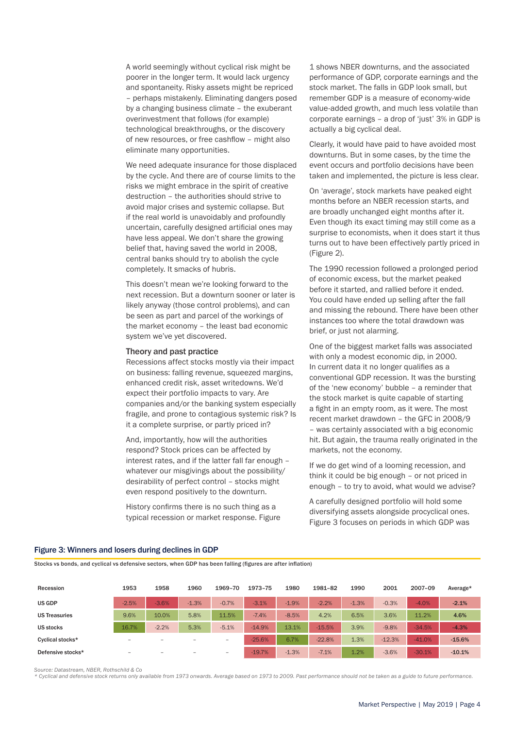A world seemingly without cyclical risk might be poorer in the longer term. It would lack urgency and spontaneity. Risky assets might be repriced – perhaps mistakenly. Eliminating dangers posed by a changing business climate – the exuberant overinvestment that follows (for example) technological breakthroughs, or the discovery of new resources, or free cashflow – might also eliminate many opportunities.

We need adequate insurance for those displaced by the cycle. And there are of course limits to the risks we might embrace in the spirit of creative destruction – the authorities should strive to avoid major crises and systemic collapse. But if the real world is unavoidably and profoundly uncertain, carefully designed artificial ones may have less appeal. We don't share the growing belief that, having saved the world in 2008, central banks should try to abolish the cycle completely. It smacks of hubris.

This doesn't mean we're looking forward to the next recession. But a downturn sooner or later is likely anyway (those control problems), and can be seen as part and parcel of the workings of the market economy – the least bad economic system we've yet discovered.

#### Theory and past practice

Recessions affect stocks mostly via their impact on business: falling revenue, squeezed margins, enhanced credit risk, asset writedowns. We'd expect their portfolio impacts to vary. Are companies and/or the banking system especially fragile, and prone to contagious systemic risk? Is it a complete surprise, or partly priced in?

And, importantly, how will the authorities respond? Stock prices can be affected by interest rates, and if the latter fall far enough – whatever our misgivings about the possibility/ desirability of perfect control – stocks might even respond positively to the downturn.

History confirms there is no such thing as a typical recession or market response. Figure

1 shows NBER downturns, and the associated performance of GDP, corporate earnings and the stock market. The falls in GDP look small, but remember GDP is a measure of economy-wide value-added growth, and much less volatile than corporate earnings – a drop of 'just' 3% in GDP is actually a big cyclical deal.

Clearly, it would have paid to have avoided most downturns. But in some cases, by the time the event occurs and portfolio decisions have been taken and implemented, the picture is less clear.

On 'average', stock markets have peaked eight months before an NBER recession starts, and are broadly unchanged eight months after it. Even though its exact timing may still come as a surprise to economists, when it does start it thus turns out to have been effectively partly priced in (Figure 2).

The 1990 recession followed a prolonged period of economic excess, but the market peaked before it started, and rallied before it ended. You could have ended up selling after the fall and missing the rebound. There have been other instances too where the total drawdown was brief, or just not alarming.

One of the biggest market falls was associated with only a modest economic dip, in 2000. In current data it no longer qualifies as a conventional GDP recession. It was the bursting of the 'new economy' bubble – a reminder that the stock market is quite capable of starting a fight in an empty room, as it were. The most recent market drawdown – the GFC in 2008/9 – was certainly associated with a big economic hit. But again, the trauma really originated in the markets, not the economy.

If we do get wind of a looming recession, and think it could be big enough – or not priced in enough – to try to avoid, what would we advise?

A carefully designed portfolio will hold some diversifying assets alongside procyclical ones. Figure 3 focuses on periods in which GDP was

# Recession 1953 1958 1960 1969–70 1973–75 1980 1981–82 1990 2001 2007–09 Average\* US GDP -2.5% -3.6% -1.3% -0.7% -3.1% -1.9% -2.2% -1.3% -0.3% -4.0% -2.1% US Treasuries 9.6% 10.0% 5.8% 11.5% -7.4% -8.5% 4.2% 6.5% 3.6% 11.2% 4.6% US stocks 16.7% -2.2% 5.3% -5.1% -14.9% 13.1% -15.5% 3.9% -9.8% -34.5% -4.3% Cyclical stocks\* – – – – -25.6% 6.7% -22.8% 1.3% -12.3% -41.0% -15.6% Defensive stocks\* – – – – -19.7% -1.3% -7.1% 1.2% -3.6% -30.1% -10.1%

### Figure 3: Winners and losers during declines in GDP

Stocks vs bonds, and cyclical vs defensive sectors, when GDP has been falling (figures are after inflation)

*Source: Datastream, NBER, Rothschild & Co*

*\* Cyclical and defensive stock returns only available from 1973 onwards. Average based on 1973 to 2009. Past performance should not be taken as a guide to future performance.*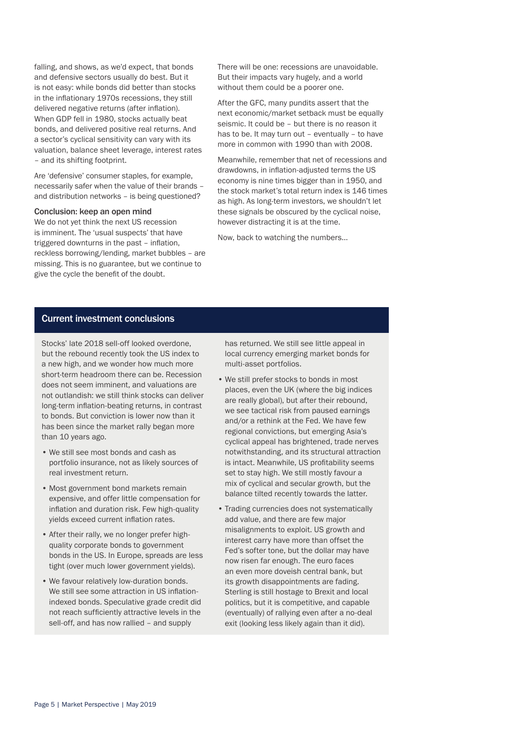falling, and shows, as we'd expect, that bonds and defensive sectors usually do best. But it is not easy: while bonds did better than stocks in the inflationary 1970s recessions, they still delivered negative returns (after inflation). When GDP fell in 1980, stocks actually beat bonds, and delivered positive real returns. And a sector's cyclical sensitivity can vary with its valuation, balance sheet leverage, interest rates – and its shifting footprint.

Are 'defensive' consumer staples, for example, necessarily safer when the value of their brands – and distribution networks – is being questioned?

## Conclusion: keep an open mind

We do not yet think the next US recession is imminent. The 'usual suspects' that have triggered downturns in the past – inflation, reckless borrowing/lending, market bubbles – are missing. This is no guarantee, but we continue to give the cycle the benefit of the doubt.

There will be one: recessions are unavoidable. But their impacts vary hugely, and a world without them could be a poorer one.

After the GFC, many pundits assert that the next economic/market setback must be equally seismic. It could be – but there is no reason it has to be. It may turn out – eventually – to have more in common with 1990 than with 2008.

Meanwhile, remember that net of recessions and drawdowns, in inflation-adjusted terms the US economy is nine times bigger than in 1950, and the stock market's total return index is 146 times as high. As long-term investors, we shouldn't let these signals be obscured by the cyclical noise, however distracting it is at the time.

Now, back to watching the numbers…

# Current investment conclusions

Stocks' late 2018 sell-off looked overdone, but the rebound recently took the US index to a new high, and we wonder how much more short-term headroom there can be. Recession does not seem imminent, and valuations are not outlandish: we still think stocks can deliver long-term inflation-beating returns, in contrast to bonds. But conviction is lower now than it has been since the market rally began more than 10 years ago.

- We still see most bonds and cash as portfolio insurance, not as likely sources of real investment return.
- Most government bond markets remain expensive, and offer little compensation for inflation and duration risk. Few high-quality yields exceed current inflation rates.
- After their rally, we no longer prefer highquality corporate bonds to government bonds in the US. In Europe, spreads are less tight (over much lower government yields).
- We favour relatively low-duration bonds. We still see some attraction in US inflationindexed bonds. Speculative grade credit did not reach sufficiently attractive levels in the sell-off, and has now rallied – and supply

has returned. We still see little appeal in local currency emerging market bonds for multi-asset portfolios.

- We still prefer stocks to bonds in most places, even the UK (where the big indices are really global), but after their rebound, we see tactical risk from paused earnings and/or a rethink at the Fed. We have few regional convictions, but emerging Asia's cyclical appeal has brightened, trade nerves notwithstanding, and its structural attraction is intact. Meanwhile, US profitability seems set to stay high. We still mostly favour a mix of cyclical and secular growth, but the balance tilted recently towards the latter.
- Trading currencies does not systematically add value, and there are few major misalignments to exploit. US growth and interest carry have more than offset the Fed's softer tone, but the dollar may have now risen far enough. The euro faces an even more doveish central bank, but its growth disappointments are fading. Sterling is still hostage to Brexit and local politics, but it is competitive, and capable (eventually) of rallying even after a no-deal exit (looking less likely again than it did).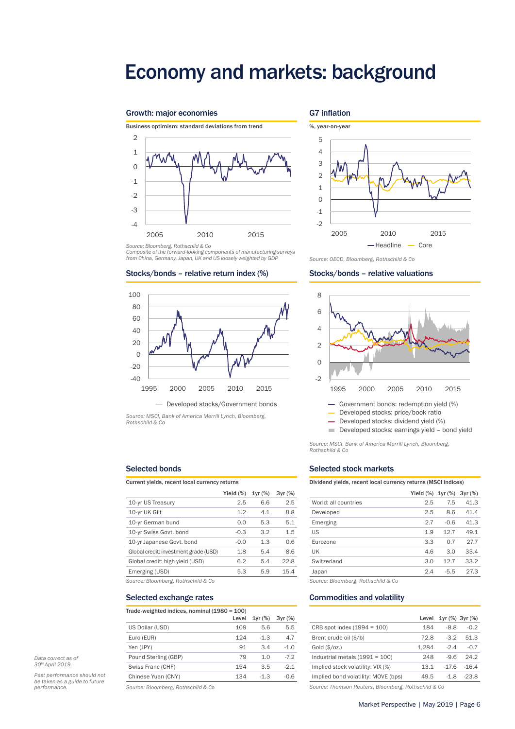# Economy and markets: background

G7 inflation

# Growth: major economies



*Source: Bloomberg, Rothschild & Co*

*Composite of the forward-looking components of manufacturing surveys from China, Germany, Japan, UK and US loosely weighted by GDP*

### Stocks/bonds – relative return index (%)



*Source: MSCI, Bank of America Merrill Lynch, Bloomberg, Rothschild & Co*

# Selected bonds

| Current yields, recent local currency returns |              |        |        |
|-----------------------------------------------|--------------|--------|--------|
|                                               | Yield $(\%)$ | 1yr(%) | 3yr(%) |
| 10-yr US Treasury                             | 2.5          | 6.6    | 2.5    |
| 10-yr UK Gilt                                 | 1.2          | 4.1    | 8.8    |
| 10-yr German bund                             | 0.0          | 5.3    | 5.1    |
| 10-yr Swiss Govt. bond                        | $-0.3$       | 3.2    | 1.5    |
| 10-yr Japanese Govt. bond                     | $-0.0$       | 1.3    | 0.6    |
| Global credit: investment grade (USD)         | 1.8          | 5.4    | 8.6    |
| Global credit: high yield (USD)               | 6.2          | 5.4    | 22.8   |
| Emerging (USD)                                | 5.3          | 5.9    | 15.4   |
|                                               |              |        |        |

*Source: Bloomberg, Rothschild & Co Source: Bloomberg, Rothschild & Co*

### Selected exchange rates

| Trade-weighted indices, nominal (1980 = 100) |  |
|----------------------------------------------|--|
|----------------------------------------------|--|

|                      | Level | 1yr(%) | 3yr(%) |
|----------------------|-------|--------|--------|
| US Dollar (USD)      | 109   | 5.6    | 5.5    |
| Euro (EUR)           | 124   | $-1.3$ | 47     |
| Yen (JPY)            | 91    | 34     | $-1.0$ |
| Pound Sterling (GBP) | 79    | 1.0    | $-7.2$ |
| Swiss Franc (CHF)    | 154   | 3.5    | $-2.1$ |
| Chinese Yuan (CNY)   | 134   | $-1.3$ | $-0.6$ |

*Data correct as of 30th April 2019.*

*Past performance should not be taken as a guide to future* 

*Source: Bloomberg, Rothschild & Co*



*Source: OECD, Bloomberg, Rothschild & Co*

### Stocks/bonds – relative valuations



Developed stocks: price/book ratio

- Developed stocks: dividend yield (%)

Developed stocks: earnings yield – bond yield

*Source: MSCI, Bank of America Merrill Lynch, Bloomberg, Rothschild & Co*

## Selected stock markets

Dividend yields, recent local currency returns (MSCI indices)

|                      | Yield $(\%)$ 1yr $(\%)$ 3yr $(\%)$ |        |      |
|----------------------|------------------------------------|--------|------|
| World: all countries | 2.5                                | 7.5    | 41.3 |
| Developed            | 2.5                                | 8.6    | 41.4 |
| Emerging             | 2.7                                | $-0.6$ | 41.3 |
| US                   | 1.9                                | 12.7   | 49.1 |
| Eurozone             | 3.3                                | 0.7    | 27.7 |
| UK                   | 4.6                                | 3.0    | 33.4 |
| Switzerland          | 3.0                                | 12.7   | 33.2 |
| Japan                | 2.4                                | $-5.5$ | 27.3 |
|                      |                                    |        |      |

#### Commodities and volatility

|                                     | Level | 1yr (%) 3yr (%) |         |
|-------------------------------------|-------|-----------------|---------|
| CRB spot index $(1994 = 100)$       | 184   | -8.8            | $-0.2$  |
| Brent crude oil (\$/b)              | 72.8  | $-3.2$          | 51.3    |
| Gold (\$/oz.)                       | 1.284 | $-2.4$          | $-0.7$  |
| Industrial metals $(1991 = 100)$    | 248   | $-9.6$          | 24.2    |
| Implied stock volatility: VIX (%)   | 13.1  | $-176$          | $-16.4$ |
| Implied bond volatility: MOVE (bps) | 49.5  | -1.8            | $-23.8$ |

*performance. Source: Thomson Reuters, Bloomberg, Rothschild & Co*